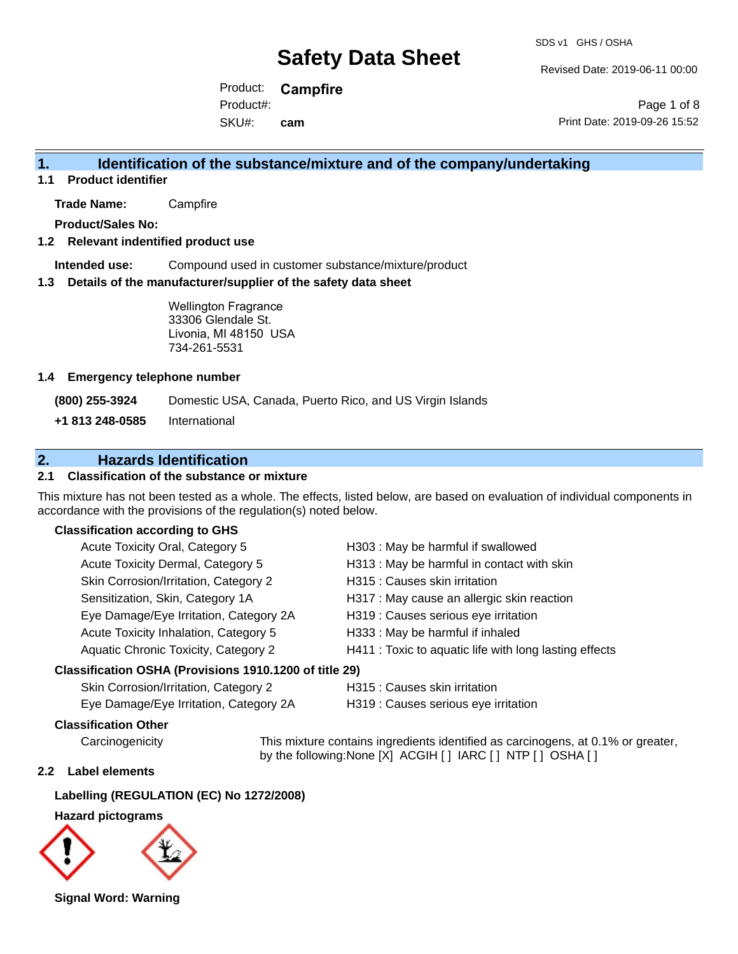SDS v1 GHS / OSHA

Revised Date: 2019-06-11 00:00

Product: **Campfire** SKU#: Product#: **cam**

Page 1 of 8 Print Date: 2019-09-26 15:52

### **1. Identification of the substance/mixture and of the company/undertaking**

**1.1 Product identifier**

**Trade Name:** Campfire

**Product/Sales No:**

#### **1.2 Relevant indentified product use**

**Intended use:** Compound used in customer substance/mixture/product

#### **1.3 Details of the manufacturer/supplier of the safety data sheet**

Wellington Fragrance 33306 Glendale St. Livonia, MI 48150 USA 734-261-5531

#### **1.4 Emergency telephone number**

**(800) 255-3924** Domestic USA, Canada, Puerto Rico, and US Virgin Islands

**+1 813 248-0585** International

### **2. Hazards Identification**

#### **2.1 Classification of the substance or mixture**

This mixture has not been tested as a whole. The effects, listed below, are based on evaluation of individual components in accordance with the provisions of the regulation(s) noted below.

#### **Classification according to GHS**

| esification OSHA (Provisions 1910 1200 of title 29) |                                                        |
|-----------------------------------------------------|--------------------------------------------------------|
| Aquatic Chronic Toxicity, Category 2                | H411 : Toxic to aquatic life with long lasting effects |
| Acute Toxicity Inhalation, Category 5               | H333: May be harmful if inhaled                        |
| Eye Damage/Eye Irritation, Category 2A              | H319 : Causes serious eye irritation                   |
| Sensitization, Skin, Category 1A                    | H317 : May cause an allergic skin reaction             |
| Skin Corrosion/Irritation, Category 2               | H315 : Causes skin irritation                          |
| Acute Toxicity Dermal, Category 5                   | H313: May be harmful in contact with skin              |
| Acute Toxicity Oral, Category 5                     | H303: May be harmful if swallowed                      |

#### **Classification OSHA (Provisions 1910.1200 of title 29)**

| Skin Corrosion/Irritation, Category 2  |  |  |
|----------------------------------------|--|--|
| Eye Damage/Eye Irritation, Category 2A |  |  |

H315 : Causes skin irritation

H319 : Causes serious eye irritation

#### **Classification Other**

Carcinogenicity This mixture contains ingredients identified as carcinogens, at 0.1% or greater, by the following:None [X] ACGIH [ ] IARC [ ] NTP [ ] OSHA [ ]

#### **2.2 Label elements**

#### **Labelling (REGULATION (EC) No 1272/2008)**

#### **Hazard pictograms**



**Signal Word: Warning**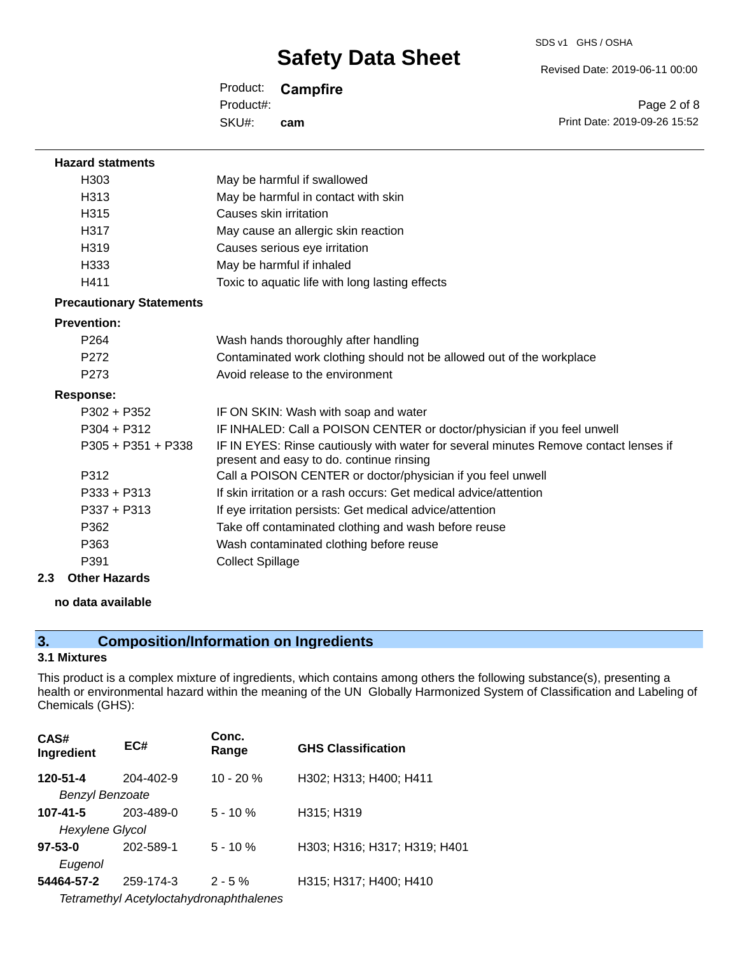SDS v1 GHS / OSHA

Revised Date: 2019-06-11 00:00

Product: **Campfire** SKU#: Product#: **cam**

Page 2 of 8 Print Date: 2019-09-26 15:52

| <b>Hazard statments</b>         |                                                                                                                                  |
|---------------------------------|----------------------------------------------------------------------------------------------------------------------------------|
| H <sub>303</sub>                | May be harmful if swallowed                                                                                                      |
| H313                            | May be harmful in contact with skin                                                                                              |
| H <sub>315</sub>                | Causes skin irritation                                                                                                           |
| H317                            | May cause an allergic skin reaction                                                                                              |
| H319                            | Causes serious eye irritation                                                                                                    |
| H333                            | May be harmful if inhaled                                                                                                        |
| H411                            | Toxic to aquatic life with long lasting effects                                                                                  |
| <b>Precautionary Statements</b> |                                                                                                                                  |
| <b>Prevention:</b>              |                                                                                                                                  |
| P <sub>264</sub>                | Wash hands thoroughly after handling                                                                                             |
| P <sub>272</sub>                | Contaminated work clothing should not be allowed out of the workplace                                                            |
| P273                            | Avoid release to the environment                                                                                                 |
| <b>Response:</b>                |                                                                                                                                  |
| $P302 + P352$                   | IF ON SKIN: Wash with soap and water                                                                                             |
| $P304 + P312$                   | IF INHALED: Call a POISON CENTER or doctor/physician if you feel unwell                                                          |
| $P305 + P351 + P338$            | IF IN EYES: Rinse cautiously with water for several minutes Remove contact lenses if<br>present and easy to do. continue rinsing |
| P312                            | Call a POISON CENTER or doctor/physician if you feel unwell                                                                      |
| $P333 + P313$                   | If skin irritation or a rash occurs: Get medical advice/attention                                                                |
| $P337 + P313$                   | If eye irritation persists: Get medical advice/attention                                                                         |
| P362                            | Take off contaminated clothing and wash before reuse                                                                             |
| P363                            | Wash contaminated clothing before reuse                                                                                          |
| P391                            | <b>Collect Spillage</b>                                                                                                          |
| 2.3<br><b>Other Hazards</b>     |                                                                                                                                  |

### **no data available**

## **3. Composition/Information on Ingredients**

#### **3.1 Mixtures**

This product is a complex mixture of ingredients, which contains among others the following substance(s), presenting a health or environmental hazard within the meaning of the UN Globally Harmonized System of Classification and Labeling of Chemicals (GHS):

| CAS#<br>Ingredient                      | EC#       | Conc.<br>Range | <b>GHS Classification</b>    |
|-----------------------------------------|-----------|----------------|------------------------------|
| 120-51-4                                | 204-402-9 | $10 - 20%$     | H302; H313; H400; H411       |
| <b>Benzyl Benzoate</b>                  |           |                |                              |
| $107 - 41 - 5$                          | 203-489-0 | $5 - 10 \%$    | H315; H319                   |
| <b>Hexylene Glycol</b>                  |           |                |                              |
| $97 - 53 - 0$                           | 202-589-1 | $5 - 10 \%$    | H303; H316; H317; H319; H401 |
| Eugenol                                 |           |                |                              |
| 54464-57-2                              | 259-174-3 | $2 - 5 \%$     | H315; H317; H400; H410       |
| Tetramethyl Acetyloctahydronaphthalenes |           |                |                              |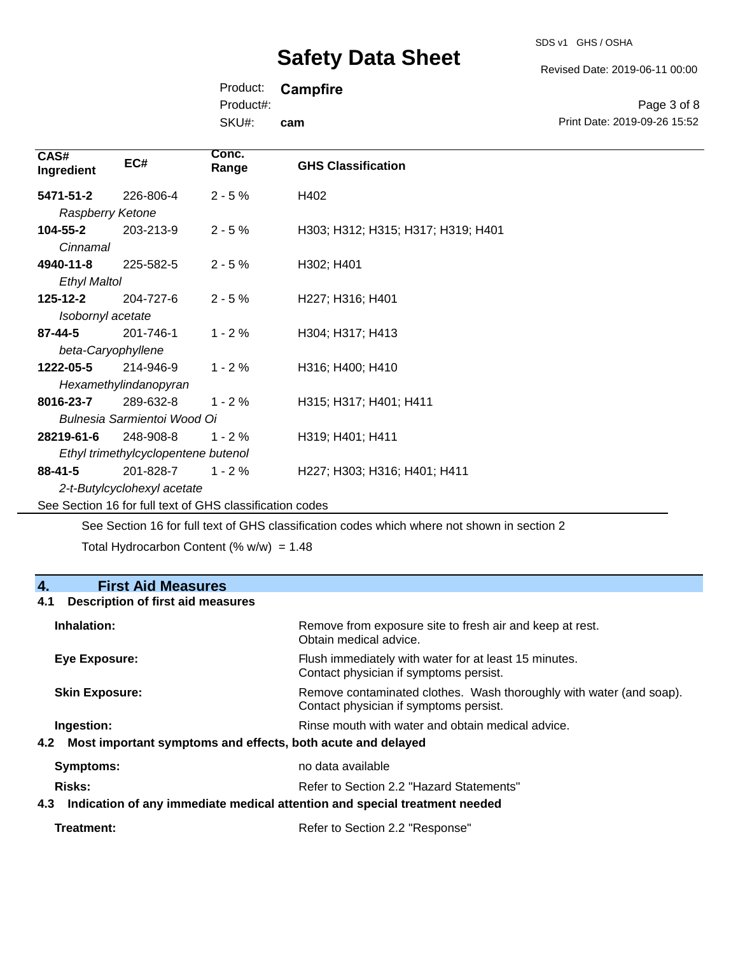SDS v1 GHS / OSHA

Print Date: 2019-09-26 15:52

Page 3 of 8

Product: **Campfire**

Product#:

SKU#: **cam**

| CAS#<br>Ingredient  | EC#                                                      | Conc.<br>Range | <b>GHS Classification</b>          |
|---------------------|----------------------------------------------------------|----------------|------------------------------------|
| 5471-51-2           | 226-806-4                                                | $2 - 5%$       | H402                               |
| Raspberry Ketone    |                                                          |                |                                    |
| 104-55-2            | 203-213-9                                                | $2 - 5%$       | H303; H312; H315; H317; H319; H401 |
| Cinnamal            |                                                          |                |                                    |
| 4940-11-8           | 225-582-5                                                | $2 - 5%$       | H302; H401                         |
| <b>Ethyl Maltol</b> |                                                          |                |                                    |
| $125 - 12 - 2$      | 204-727-6                                                | $2 - 5%$       | H227; H316; H401                   |
| Isobornyl acetate   |                                                          |                |                                    |
| 87-44-5             | 201-746-1                                                | $1 - 2%$       | H304; H317; H413                   |
|                     | beta-Caryophyllene                                       |                |                                    |
| 1222-05-5           | 214-946-9                                                | $1 - 2%$       | H316; H400; H410                   |
|                     | Hexamethylindanopyran                                    |                |                                    |
| 8016-23-7           | 289-632-8                                                | $1 - 2%$       | H315; H317; H401; H411             |
|                     | Bulnesia Sarmientoi Wood Oi                              |                |                                    |
| 28219-61-6          | 248-908-8                                                | $1 - 2%$       | H319; H401; H411                   |
|                     | Ethyl trimethylcyclopentene butenol                      |                |                                    |
| $88 - 41 - 5$       | 201-828-7                                                | $1 - 2%$       | H227; H303; H316; H401; H411       |
|                     | 2-t-Butylcyclohexyl acetate                              |                |                                    |
|                     | See Section 16 for full text of GHS classification codes |                |                                    |

See Section 16 for full text of GHS classification codes which where not shown in section 2

Total Hydrocarbon Content (%  $w/w$ ) = 1.48

| 4.<br><b>First Aid Measures</b>                                                   |                                                                                                               |
|-----------------------------------------------------------------------------------|---------------------------------------------------------------------------------------------------------------|
| Description of first aid measures<br>4.1                                          |                                                                                                               |
| Inhalation:                                                                       | Remove from exposure site to fresh air and keep at rest.<br>Obtain medical advice.                            |
| Eye Exposure:                                                                     | Flush immediately with water for at least 15 minutes.<br>Contact physician if symptoms persist.               |
| <b>Skin Exposure:</b>                                                             | Remove contaminated clothes. Wash thoroughly with water (and soap).<br>Contact physician if symptoms persist. |
| Ingestion:                                                                        | Rinse mouth with water and obtain medical advice.                                                             |
| Most important symptoms and effects, both acute and delayed<br>4.2                |                                                                                                               |
| Symptoms:                                                                         | no data available                                                                                             |
| Risks:                                                                            | Refer to Section 2.2 "Hazard Statements"                                                                      |
| Indication of any immediate medical attention and special treatment needed<br>4.3 |                                                                                                               |

| Treatment: | Refer to Section 2.2 "Response" |
|------------|---------------------------------|
|            |                                 |

Revised Date: 2019-06-11 00:00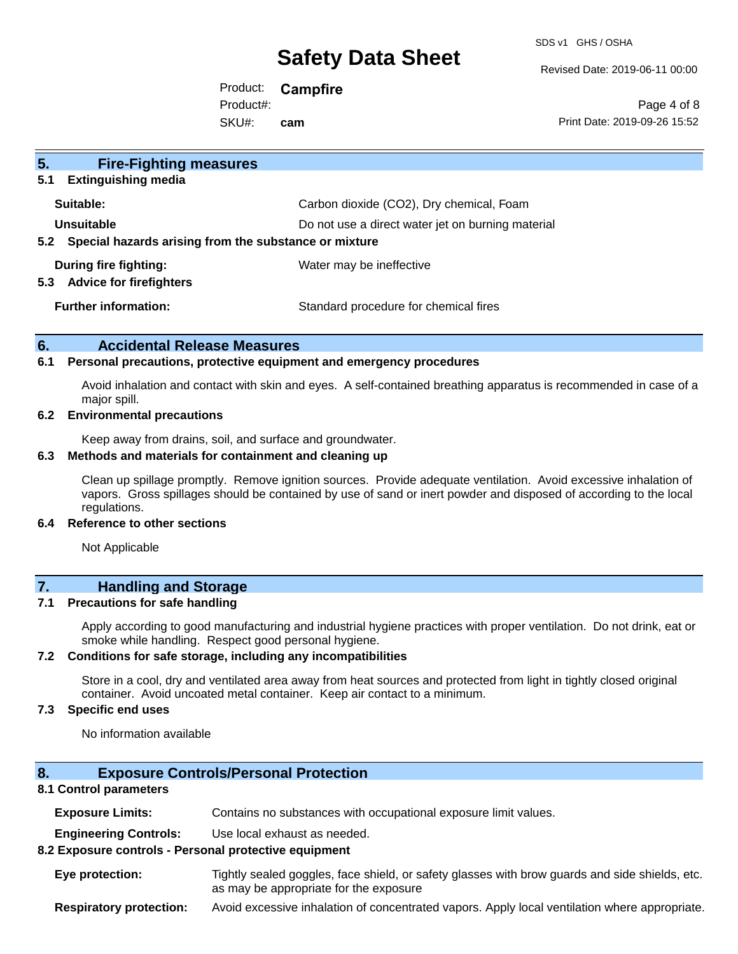SDS v1 GHS / OSHA

Revised Date: 2019-06-11 00:00

Product: **Campfire** SKU#: Product#: **cam**

Page 4 of 8 Print Date: 2019-09-26 15:52

| 5 <sub>1</sub><br><b>Fire-Fighting measures</b>                |                                                   |
|----------------------------------------------------------------|---------------------------------------------------|
| <b>Extinguishing media</b><br>5.1                              |                                                   |
| Suitable:                                                      | Carbon dioxide (CO2), Dry chemical, Foam          |
| Unsuitable                                                     | Do not use a direct water jet on burning material |
| Special hazards arising from the substance or mixture<br>5.2   |                                                   |
| During fire fighting:<br><b>Advice for firefighters</b><br>5.3 | Water may be ineffective                          |
| <b>Further information:</b>                                    | Standard procedure for chemical fires             |

#### **6. Accidental Release Measures**

#### **6.1 Personal precautions, protective equipment and emergency procedures**

Avoid inhalation and contact with skin and eyes. A self-contained breathing apparatus is recommended in case of a major spill.

#### **6.2 Environmental precautions**

Keep away from drains, soil, and surface and groundwater.

#### **6.3 Methods and materials for containment and cleaning up**

Clean up spillage promptly. Remove ignition sources. Provide adequate ventilation. Avoid excessive inhalation of vapors. Gross spillages should be contained by use of sand or inert powder and disposed of according to the local regulations.

#### **6.4 Reference to other sections**

Not Applicable

### **7. Handling and Storage**

#### **7.1 Precautions for safe handling**

Apply according to good manufacturing and industrial hygiene practices with proper ventilation. Do not drink, eat or smoke while handling. Respect good personal hygiene.

#### **7.2 Conditions for safe storage, including any incompatibilities**

Store in a cool, dry and ventilated area away from heat sources and protected from light in tightly closed original container. Avoid uncoated metal container. Keep air contact to a minimum.

#### **7.3 Specific end uses**

No information available

#### **8. Exposure Controls/Personal Protection**

#### **8.1 Control parameters**

**Exposure Limits:** Contains no substances with occupational exposure limit values.

**Engineering Controls:** Use local exhaust as needed.

#### **8.2 Exposure controls - Personal protective equipment**

**Eye protection:** Tightly sealed goggles, face shield, or safety glasses with brow guards and side shields, etc. as may be appropriate for the exposure

**Respiratory protection:** Avoid excessive inhalation of concentrated vapors. Apply local ventilation where appropriate.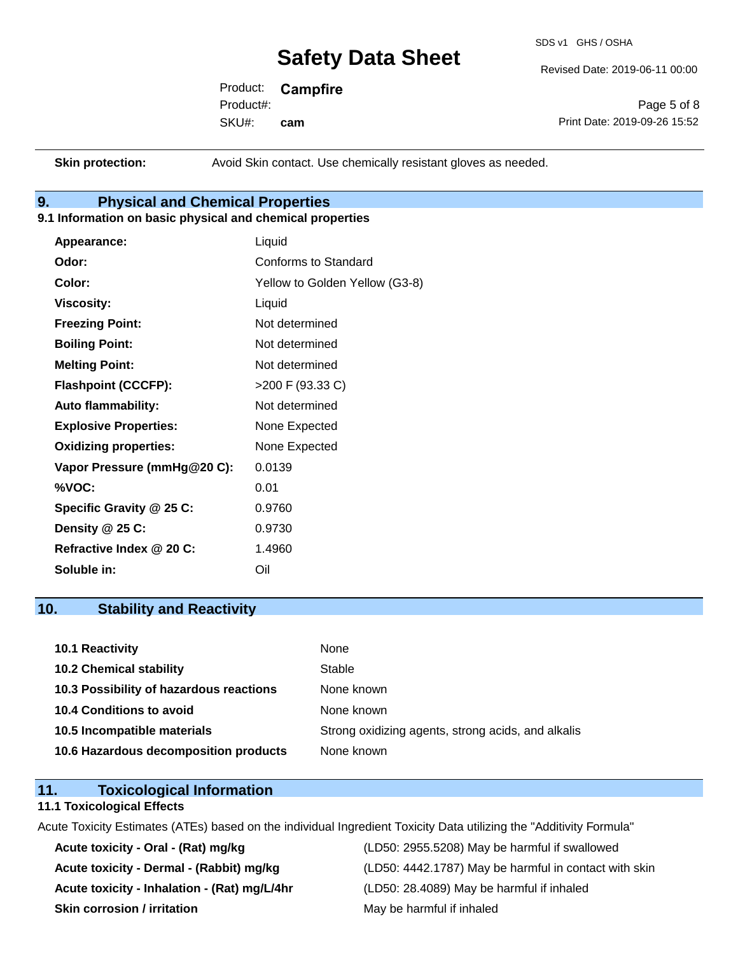SDS v1 GHS / OSHA

Revised Date: 2019-06-11 00:00

Product: **Campfire** SKU#: Product#: **cam**

Page 5 of 8 Print Date: 2019-09-26 15:52

**Skin protection:** Avoid Skin contact. Use chemically resistant gloves as needed.

### **9. Physical and Chemical Properties**

#### **9.1 Information on basic physical and chemical properties**

| Appearance:                  | Liquid                         |
|------------------------------|--------------------------------|
| Odor:                        | Conforms to Standard           |
| Color:                       | Yellow to Golden Yellow (G3-8) |
| <b>Viscosity:</b>            | Liquid                         |
| <b>Freezing Point:</b>       | Not determined                 |
| <b>Boiling Point:</b>        | Not determined                 |
| <b>Melting Point:</b>        | Not determined                 |
| <b>Flashpoint (CCCFP):</b>   | >200 F (93.33 C)               |
| <b>Auto flammability:</b>    | Not determined                 |
| <b>Explosive Properties:</b> | None Expected                  |
| <b>Oxidizing properties:</b> | None Expected                  |
| Vapor Pressure (mmHg@20 C):  | 0.0139                         |
| %VOC:                        | 0.01                           |
| Specific Gravity @ 25 C:     | 0.9760                         |
| Density $@25C$ :             | 0.9730                         |
| Refractive Index @ 20 C:     | 1.4960                         |
| Soluble in:                  | Oil                            |

### **10. Stability and Reactivity**

| 10.1 Reactivity                         | None                                               |
|-----------------------------------------|----------------------------------------------------|
| <b>10.2 Chemical stability</b>          | Stable                                             |
| 10.3 Possibility of hazardous reactions | None known                                         |
| <b>10.4 Conditions to avoid</b>         | None known                                         |
| 10.5 Incompatible materials             | Strong oxidizing agents, strong acids, and alkalis |
| 10.6 Hazardous decomposition products   | None known                                         |

### **11. Toxicological Information**

#### **11.1 Toxicological Effects**

Acute Toxicity Estimates (ATEs) based on the individual Ingredient Toxicity Data utilizing the "Additivity Formula"

**Acute toxicity - Inhalation - (Rat) mg/L/4hr** (LD50: 28.4089) May be harmful if inhaled **Skin corrosion / irritation** May be harmful if inhaled

**Acute toxicity - Oral - (Rat) mg/kg** (LD50: 2955.5208) May be harmful if swallowed Acute toxicity - Dermal - (Rabbit) mg/kg<br>
(LD50: 4442.1787) May be harmful in contact with skin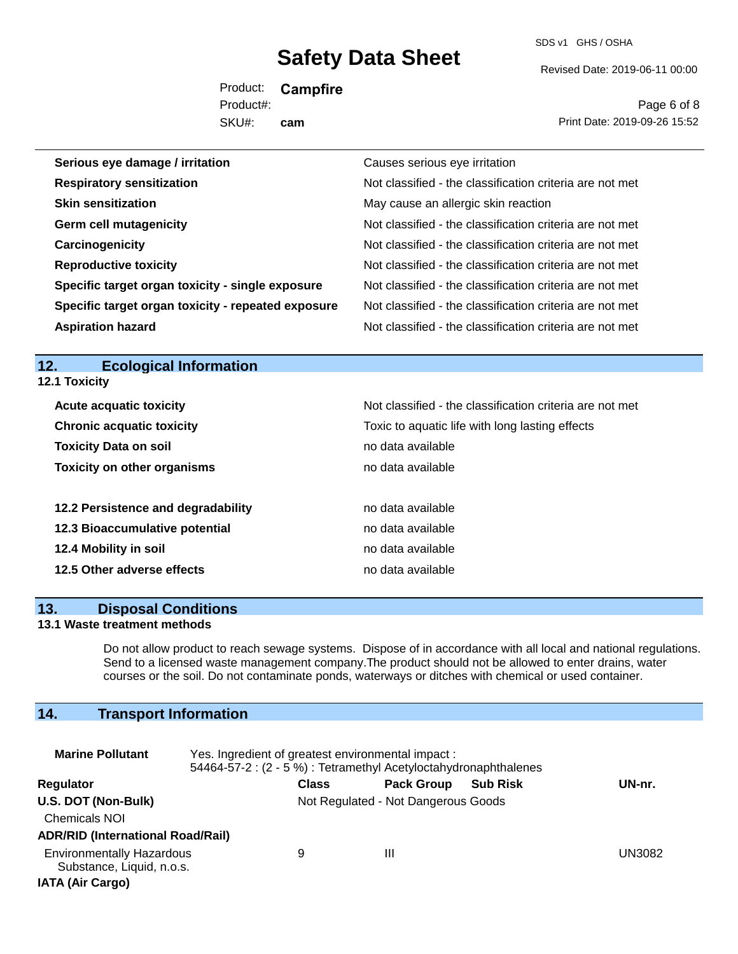SDS v1 GHS / OSHA

Revised Date: 2019-06-11 00:00

Product: **Campfire** SKU#: Product#: **cam**

Page 6 of 8 Print Date: 2019-09-26 15:52

| Serious eye damage / irritation                    | Causes serious eye irritation                            |
|----------------------------------------------------|----------------------------------------------------------|
| <b>Respiratory sensitization</b>                   | Not classified - the classification criteria are not met |
| <b>Skin sensitization</b>                          | May cause an allergic skin reaction                      |
| <b>Germ cell mutagenicity</b>                      | Not classified - the classification criteria are not met |
| Carcinogenicity                                    | Not classified - the classification criteria are not met |
| <b>Reproductive toxicity</b>                       | Not classified - the classification criteria are not met |
| Specific target organ toxicity - single exposure   | Not classified - the classification criteria are not met |
| Specific target organ toxicity - repeated exposure | Not classified - the classification criteria are not met |
| <b>Aspiration hazard</b>                           | Not classified - the classification criteria are not met |

### **12. Ecological Information**

**12.1 Toxicity**

| <b>Acute acquatic toxicity</b>     | Not classified - the classification criteria are not met |
|------------------------------------|----------------------------------------------------------|
| <b>Chronic acquatic toxicity</b>   | Toxic to aquatic life with long lasting effects          |
| <b>Toxicity Data on soil</b>       | no data available                                        |
| <b>Toxicity on other organisms</b> | no data available                                        |
|                                    |                                                          |
| 12.2 Persistence and degradability | no data available                                        |
| 12.3 Bioaccumulative potential     | no data available                                        |
| 12.4 Mobility in soil              | no data available                                        |
| 12.5 Other adverse effects         | no data available                                        |
|                                    |                                                          |

#### **13. Disposal Conditions**

#### **13.1 Waste treatment methods**

Do not allow product to reach sewage systems. Dispose of in accordance with all local and national regulations. Send to a licensed waste management company.The product should not be allowed to enter drains, water courses or the soil. Do not contaminate ponds, waterways or ditches with chemical or used container.

## **14. Transport Information**

| <b>Marine Pollutant</b>                                                                  | Yes. Ingredient of greatest environmental impact:<br>54464-57-2 : (2 - 5 %) : Tetramethyl Acetyloctahydronaphthalenes |              |                                     |                 |        |
|------------------------------------------------------------------------------------------|-----------------------------------------------------------------------------------------------------------------------|--------------|-------------------------------------|-----------------|--------|
| Regulator                                                                                |                                                                                                                       | <b>Class</b> | <b>Pack Group</b>                   | <b>Sub Risk</b> | UN-nr. |
| U.S. DOT (Non-Bulk)<br><b>Chemicals NOI</b><br><b>ADR/RID (International Road/Rail)</b>  |                                                                                                                       |              | Not Regulated - Not Dangerous Goods |                 |        |
| <b>Environmentally Hazardous</b><br>Substance, Liquid, n.o.s.<br><b>IATA (Air Cargo)</b> |                                                                                                                       | 9            | Ш                                   |                 | UN3082 |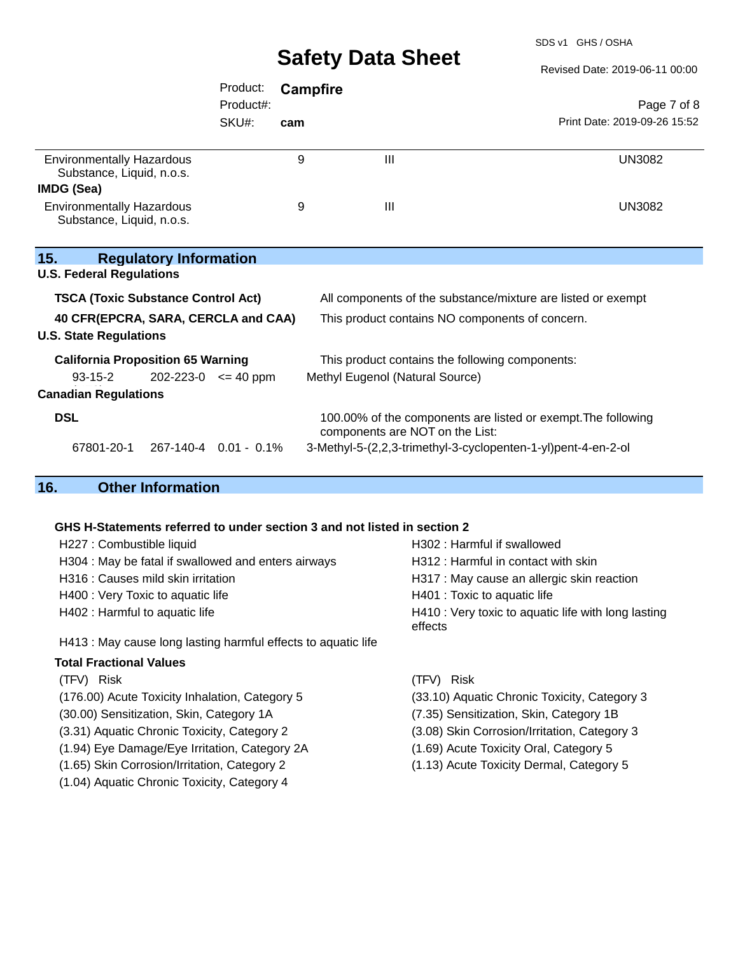SDS v1 GHS / OSHA

Revised Date: 2019-06-11 00:00

|                                                               | Product:                    |     | Campfire                                                                                         |                              |
|---------------------------------------------------------------|-----------------------------|-----|--------------------------------------------------------------------------------------------------|------------------------------|
|                                                               | Product#:                   |     |                                                                                                  | Page 7 of 8                  |
|                                                               | SKU#:                       | cam |                                                                                                  | Print Date: 2019-09-26 15:52 |
| <b>Environmentally Hazardous</b><br>Substance, Liquid, n.o.s. |                             | 9   | Ш                                                                                                | <b>UN3082</b>                |
| IMDG (Sea)                                                    |                             |     |                                                                                                  |                              |
| <b>Environmentally Hazardous</b><br>Substance, Liquid, n.o.s. |                             | 9   | $\mathbf{III}$                                                                                   | <b>UN3082</b>                |
| 15.<br><b>Regulatory Information</b>                          |                             |     |                                                                                                  |                              |
| <b>U.S. Federal Regulations</b>                               |                             |     |                                                                                                  |                              |
| <b>TSCA (Toxic Substance Control Act)</b>                     |                             |     | All components of the substance/mixture are listed or exempt                                     |                              |
| 40 CFR(EPCRA, SARA, CERCLA and CAA)                           |                             |     | This product contains NO components of concern.                                                  |                              |
| <b>U.S. State Regulations</b>                                 |                             |     |                                                                                                  |                              |
| <b>California Proposition 65 Warning</b>                      |                             |     | This product contains the following components:                                                  |                              |
| $93 - 15 - 2$                                                 | $202 - 223 - 0 \leq 40$ ppm |     | Methyl Eugenol (Natural Source)                                                                  |                              |
| <b>Canadian Regulations</b>                                   |                             |     |                                                                                                  |                              |
| <b>DSL</b>                                                    |                             |     | 100.00% of the components are listed or exempt. The following<br>components are NOT on the List: |                              |
| 67801-20-1                                                    | 267-140-4 0.01 - 0.1%       |     | 3-Methyl-5-(2,2,3-trimethyl-3-cyclopenten-1-yl)pent-4-en-2-ol                                    |                              |
| 16.<br><b>Other Information</b>                               |                             |     |                                                                                                  |                              |

#### **GHS H-Statements referred to under section 3 and not listed in section 2**

(1.04) Aquatic Chronic Toxicity, Category 4

| H227 : Combustible liquid                                     | H302 : Harmful if swallowed                                    |
|---------------------------------------------------------------|----------------------------------------------------------------|
| H304 : May be fatal if swallowed and enters airways           | H312 : Harmful in contact with skin                            |
| H316 : Causes mild skin irritation                            | H317 : May cause an allergic skin reaction                     |
| H400 : Very Toxic to aquatic life                             | H401 : Toxic to aquatic life                                   |
| H402 : Harmful to aquatic life                                | H410 : Very toxic to aquatic life with long lasting<br>effects |
| H413 : May cause long lasting harmful effects to aquatic life |                                                                |
| <b>Total Fractional Values</b>                                |                                                                |
| (TFV) Risk                                                    | <b>Risk</b><br>(TFV).                                          |
| (176.00) Acute Toxicity Inhalation, Category 5                | (33.10) Aquatic Chronic Toxicity, Category 3                   |
| (30.00) Sensitization, Skin, Category 1A                      | (7.35) Sensitization, Skin, Category 1B                        |

- 
- (3.31) Aquatic Chronic Toxicity, Category 2 (3.08) Skin Corrosion/Irritation, Category 3
- (1.94) Eye Damage/Eye Irritation, Category 2A (1.69) Acute Toxicity Oral, Category 5
- (1.65) Skin Corrosion/Irritation, Category 2 (1.13) Acute Toxicity Dermal, Category 5